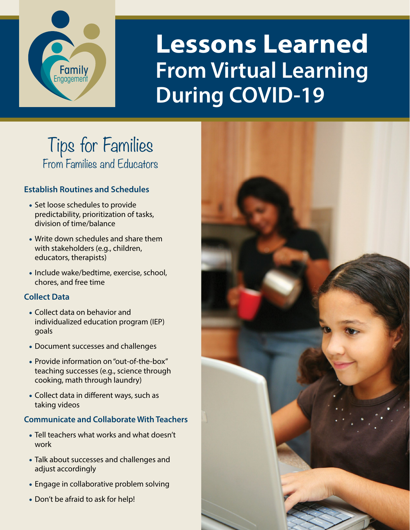

# **Lessons Learned From Virtual Learning During COVID-19**

# Tips for Families From Families and Educators

# **Establish Routines and Schedules**

- Set loose schedules to provide predictability, prioritization of tasks, division of time/balance
- Write down schedules and share them with stakeholders (e.g., children, educators, therapists)
- Include wake/bedtime, exercise, school, chores, and free time

# **Collect Data**

- Collect data on behavior and individualized education program (IEP) goals
- Document successes and challenges
- Provide information on "out-of-the-box" teaching successes (e.g., science through cooking, math through laundry)
- Collect data in different ways, such as taking videos

# **Communicate and Collaborate With Teachers**

- Tell teachers what works and what doesn't work
- Talk about successes and challenges and adjust accordingly
- Engage in collaborative problem solving
- Don't be afraid to ask for help!